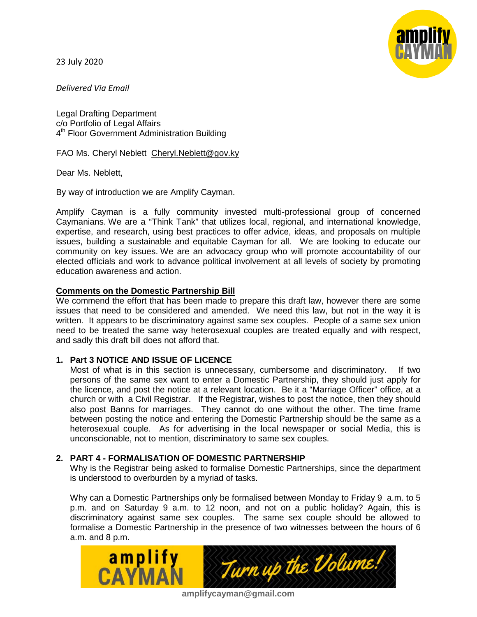23 July 2020



*Delivered Via Email*

Legal Drafting Department c/o Portfolio of Legal Affairs 4<sup>th</sup> Floor Government Administration Building

FAO Ms. Cheryl Neblett [Cheryl.Neblett@gov.ky](mailto:Cheryl.Neblett@gov.ky)

Dear Ms. Neblett,

By way of introduction we are Amplify Cayman.

Amplify Cayman is a fully community invested multi-professional group of concerned Caymanians. We are a "Think Tank" that utilizes local, regional, and international knowledge, expertise, and research, using best practices to offer advice, ideas, and proposals on multiple issues, building a sustainable and equitable Cayman for all. We are looking to educate our community on key issues. We are an advocacy group who will promote accountability of our elected officials and work to advance political involvement at all levels of society by promoting education awareness and action.

## **Comments on the Domestic Partnership Bill**

We commend the effort that has been made to prepare this draft law, however there are some issues that need to be considered and amended. We need this law, but not in the way it is written. It appears to be discriminatory against same sex couples. People of a same sex union need to be treated the same way heterosexual couples are treated equally and with respect, and sadly this draft bill does not afford that.

### **1. Part 3 NOTICE AND ISSUE OF LICENCE**

Most of what is in this section is unnecessary, cumbersome and discriminatory. If two persons of the same sex want to enter a Domestic Partnership, they should just apply for the licence, and post the notice at a relevant location. Be it a "Marriage Officer" office, at a church or with a Civil Registrar. If the Registrar, wishes to post the notice, then they should also post Banns for marriages. They cannot do one without the other. The time frame between posting the notice and entering the Domestic Partnership should be the same as a heterosexual couple. As for advertising in the local newspaper or social Media, this is unconscionable, not to mention, discriminatory to same sex couples.

## **2. PART 4 - FORMALISATION OF DOMESTIC PARTNERSHIP**

Why is the Registrar being asked to formalise Domestic Partnerships, since the department is understood to overburden by a myriad of tasks.

Why can a Domestic Partnerships only be formalised between Monday to Friday 9 a.m. to 5 p.m. and on Saturday 9 a.m. to 12 noon, and not on a public holiday? Again, this is discriminatory against same sex couples. The same sex couple should be allowed to formalise a Domestic Partnership in the presence of two witnesses between the hours of 6 a.m. and 8 p.m.



**amplifycayman@gmail.com**